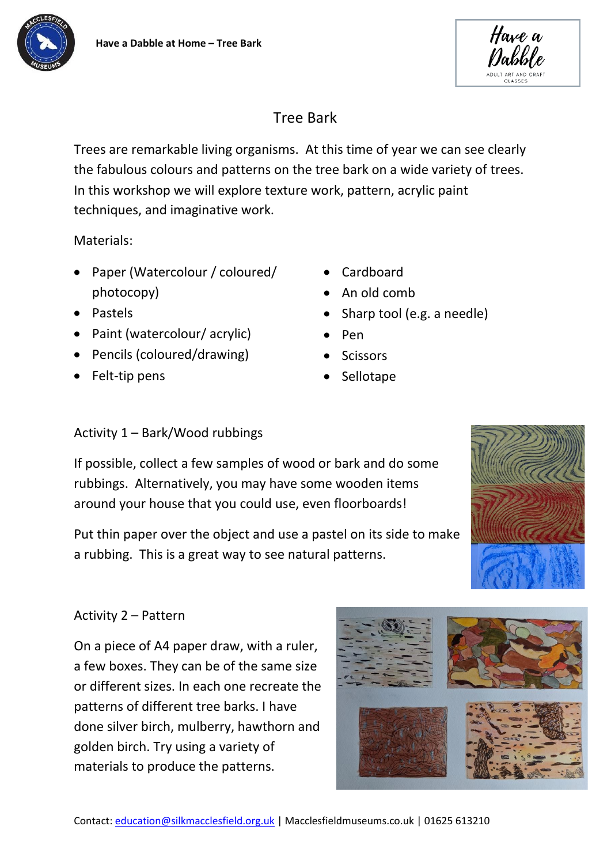



# Tree Bark

Trees are remarkable living organisms. At this time of year we can see clearly the fabulous colours and patterns on the tree bark on a wide variety of trees. In this workshop we will explore texture work, pattern, acrylic paint techniques, and imaginative work.

Materials:

- Paper (Watercolour / coloured/ photocopy)
- Pastels
- Paint (watercolour/ acrylic)
- Pencils (coloured/drawing)
- Felt-tip pens
- Cardboard
- An old comb
- Sharp tool (e.g. a needle)
- Pen
- **Scissors**
- **Sellotape**

## Activity 1 – Bark/Wood rubbings

If possible, collect a few samples of wood or bark and do some rubbings. Alternatively, you may have some wooden items around your house that you could use, even floorboards!

Put thin paper over the object and use a pastel on its side to make a rubbing. This is a great way to see natural patterns.



## Activity 2 – Pattern

On a piece of A4 paper draw, with a ruler, a few boxes. They can be of the same size or different sizes. In each one recreate the patterns of different tree barks. I have done silver birch, mulberry, hawthorn and golden birch. Try using a variety of materials to produce the patterns.

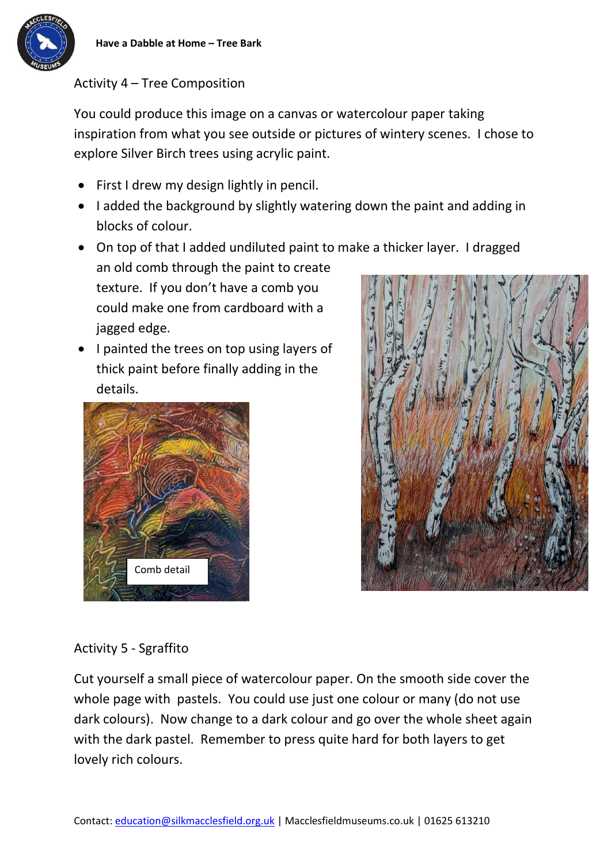

## Activity 4 – Tree Composition

You could produce this image on a canvas or watercolour paper taking inspiration from what you see outside or pictures of wintery scenes. I chose to explore Silver Birch trees using acrylic paint.

- First I drew my design lightly in pencil.
- I added the background by slightly watering down the paint and adding in blocks of colour.
- On top of that I added undiluted paint to make a thicker layer. I dragged an old comb through the paint to create

texture. If you don't have a comb you could make one from cardboard with a jagged edge.

• I painted the trees on top using layers of thick paint before finally adding in the details.





## Activity 5 - Sgraffito

Cut yourself a small piece of watercolour paper. On the smooth side cover the whole page with pastels. You could use just one colour or many (do not use dark colours). Now change to a dark colour and go over the whole sheet again with the dark pastel. Remember to press quite hard for both layers to get lovely rich colours.